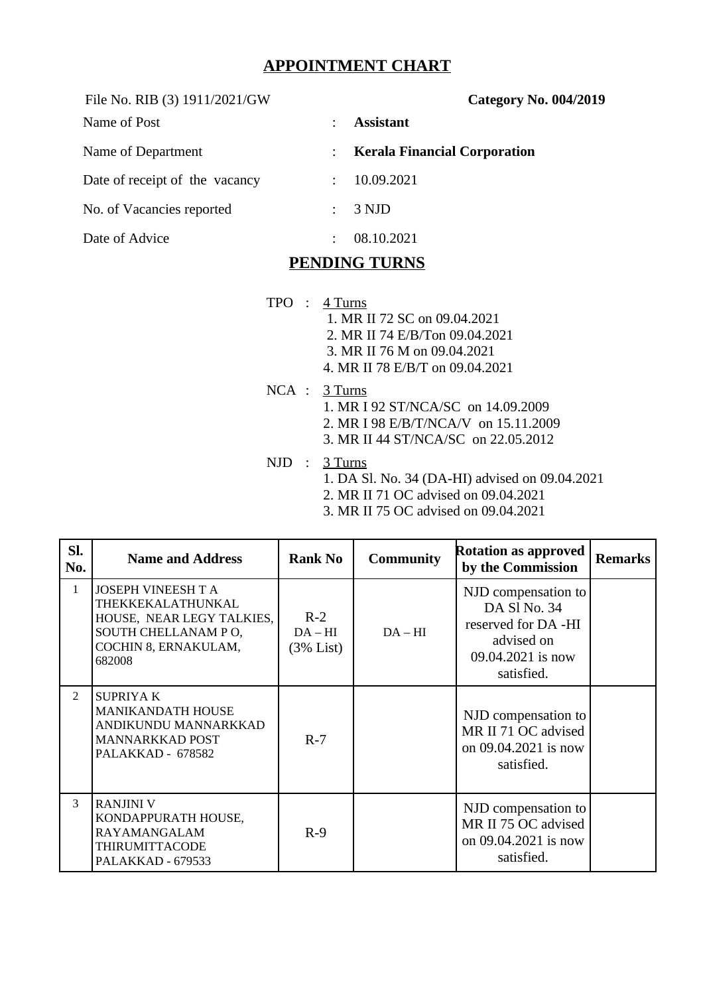## **APPOINTMENT CHART**

File No. RIB (3) 1911/2021/GW **Category No. 004/2019**

| Name of Post                   | <b>Assistant</b>                    |
|--------------------------------|-------------------------------------|
| Name of Department             | <b>Kerala Financial Corporation</b> |
| Date of receipt of the vacancy | 10.09.2021                          |
| No. of Vacancies reported      | 3 NJD                               |
| Date of Advice                 | 08.10.2021                          |

## **PENDING TURNS**

- TPO : 4 Turns
	- 1. MR II 72 SC on 09.04.2021
	- 2. MR II 74 E/B/Ton 09.04.2021
	- 3. MR II 76 M on 09.04.2021
	- 4. MR II 78 E/B/T on 09.04.2021
- NCA : 3 Turns 1. MR I 92 ST/NCA/SC on 14.09.2009 2. MR I 98 E/B/T/NCA/V on 15.11.2009 3. MR II 44 ST/NCA/SC on 22.05.2012
- NJD : 3 Turns
	- 1. DA Sl. No. 34 (DA-HI) advised on 09.04.2021
	- 2. MR II 71 OC advised on 09.04.2021
	- 3. MR II 75 OC advised on 09.04.2021

| SI.<br>No.     | <b>Name and Address</b>                                                                                                              | <b>Rank No</b>                | <b>Community</b> | <b>Rotation as approved</b><br>by the Commission                                                            | <b>Remarks</b> |
|----------------|--------------------------------------------------------------------------------------------------------------------------------------|-------------------------------|------------------|-------------------------------------------------------------------------------------------------------------|----------------|
| $\mathbf{1}$   | <b>JOSEPH VINEESH T A</b><br>THEKKEKALATHUNKAL<br>HOUSE, NEAR LEGY TALKIES,<br>SOUTH CHELLANAM PO,<br>COCHIN 8, ERNAKULAM,<br>682008 | $R-2$<br>$DA-HI$<br>(3% List) | $DA-HI$          | NJD compensation to<br>DA SI No. 34<br>reserved for DA -HI<br>advised on<br>09.04.2021 is now<br>satisfied. |                |
| $\overline{2}$ | <b>SUPRIYAK</b><br><b>MANIKANDATH HOUSE</b><br>ANDIKUNDU MANNARKKAD<br><b>MANNARKKAD POST</b><br>PALAKKAD - 678582                   | $R-7$                         |                  | NJD compensation to<br>MR II 71 OC advised<br>on 09.04.2021 is now<br>satisfied.                            |                |
| 3              | <b>RANJINI V</b><br>KONDAPPURATH HOUSE,<br><b>RAYAMANGALAM</b><br>THIRUMITTACODE<br>PALAKKAD - 679533                                | $R-9$                         |                  | NJD compensation to<br>MR II 75 OC advised<br>on 09.04.2021 is now<br>satisfied.                            |                |